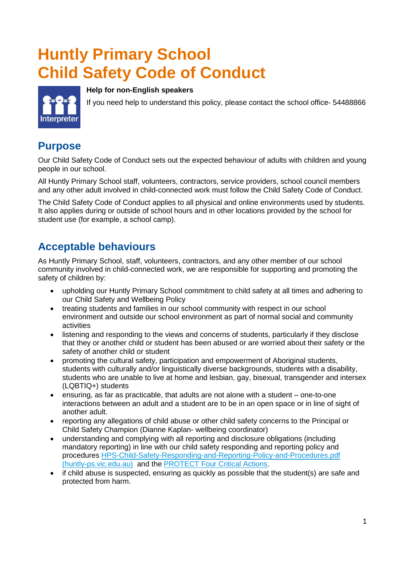# **Huntly Primary School Child Safety Code of Conduct**



#### **Help for non-English speakers**

If you need help to understand this policy, please contact the school office- 54488866

#### **Purpose**

Our Child Safety Code of Conduct sets out the expected behaviour of adults with children and young people in our school.

All Huntly Primary School staff, volunteers, contractors, service providers, school council members and any other adult involved in child-connected work must follow the Child Safety Code of Conduct.

The Child Safety Code of Conduct applies to all physical and online environments used by students. It also applies during or outside of school hours and in other locations provided by the school for student use (for example, a school camp).

### **Acceptable behaviours**

As Huntly Primary School, staff, volunteers, contractors, and any other member of our school community involved in child-connected work, we are responsible for supporting and promoting the safety of children by:

- upholding our Huntly Primary School commitment to child safety at all times and adhering to our Child Safety and Wellbeing Policy
- treating students and families in our school community with respect in our school environment and outside our school environment as part of normal social and community activities
- listening and responding to the views and concerns of students, particularly if they disclose that they or another child or student has been abused or are worried about their safety or the safety of another child or student
- promoting the cultural safety, participation and empowerment of Aboriginal students, students with culturally and/or linguistically diverse backgrounds, students with a disability, students who are unable to live at home and lesbian, gay, bisexual, transgender and intersex (LQBTIQ+) students
- ensuring, as far as practicable, that adults are not alone with a student one-to-one interactions between an adult and a student are to be in an open space or in line of sight of another adult.
- reporting any allegations of child abuse or other child safety concerns to the Principal or Child Safety Champion (Dianne Kaplan- wellbeing coordinator)
- understanding and complying with all reporting and disclosure obligations (including mandatory reporting) in line with our child safety responding and reporting policy and procedures [HPS-Child-Safety-Responding-and-Reporting-Policy-and-Procedures.pdf](http://www.huntly-ps.vic.edu.au/wordpress/wp-content/uploads/2021/03/HPS-Child-Safety-Responding-and-Reporting-Policy-and-Procedures.pdf)  [\(huntly-ps.vic.edu.au\)](http://www.huntly-ps.vic.edu.au/wordpress/wp-content/uploads/2021/03/HPS-Child-Safety-Responding-and-Reporting-Policy-and-Procedures.pdf) and the [PROTECT Four Critical Actions.](https://www.education.vic.gov.au/Documents/about/programs/health/protect/FourCriticalActions_ChildAbuse.pdf)
- if child abuse is suspected, ensuring as quickly as possible that the student(s) are safe and protected from harm.